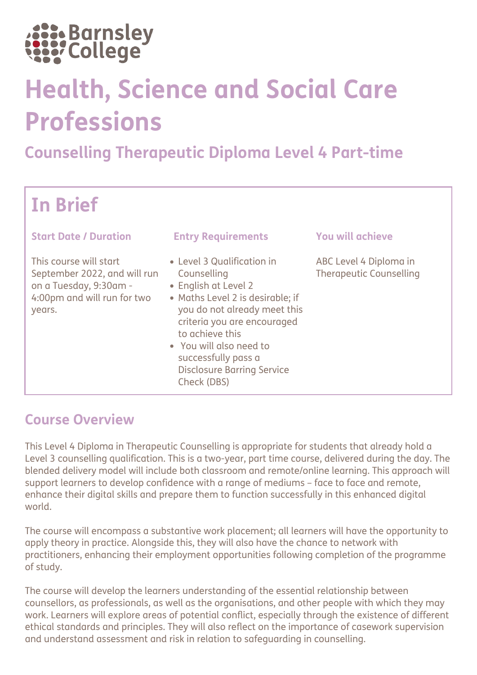

# Health, Science and Social Care Professions

# Counselling Therapeutic Diploma Level 4 Part-time

# In Brief

#### Start Date / Duration Entry Requirements You will achieve

This course will start September 2022, and will run on a Tuesday, 9:30am - 4:00pm and will run for two years.

- Level 3 Qualification in Counselling
- English at Level 2
- Maths Level 2 is desirable; if you do not already meet this criteria you are encouraged to achieve this
- You will also need to successfully pass a Disclosure Barring Service Check (DBS)

ABC Level 4 Diploma in Therapeutic Counselling

#### Course Overview

This Level 4 Diploma in Therapeutic Counselling is appropriate for students that already hold a Level 3 counselling qualification. This is a two-year, part time course, delivered during the day. The blended delivery model will include both classroom and remote/online learning. This approach will support learners to develop confidence with a range of mediums – face to face and remote, enhance their digital skills and prepare them to function successfully in this enhanced digital world.

The course will encompass a substantive work placement; all learners will have the opportunity to apply theory in practice. Alongside this, they will also have the chance to network with practitioners, enhancing their employment opportunities following completion of the programme of study.

The course will develop the learners understanding of the essential relationship between counsellors, as professionals, as well as the organisations, and other people with which they may work. Learners will explore areas of potential conflict, especially through the existence of different ethical standards and principles. They will also reflect on the importance of casework supervision and understand assessment and risk in relation to safeguarding in counselling.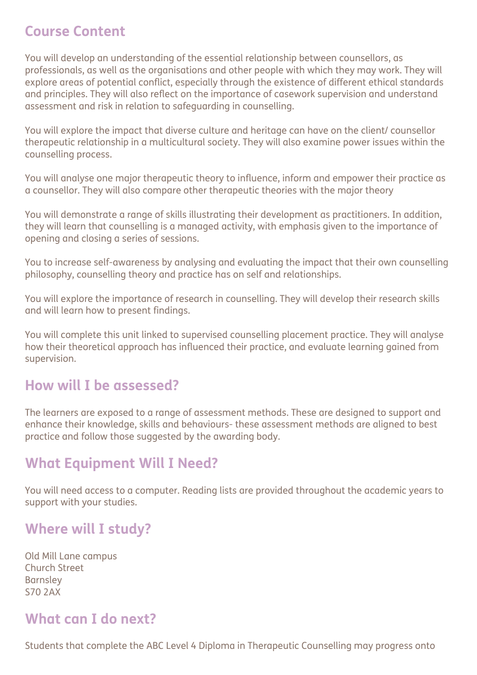# Course Content

You will develop an understanding of the essential relationship between counsellors, as professionals, as well as the organisations and other people with which they may work. They will explore areas of potential conflict, especially through the existence of different ethical standards and principles. They will also reflect on the importance of casework supervision and understand assessment and risk in relation to safeguarding in counselling.

You will explore the impact that diverse culture and heritage can have on the client/ counsellor therapeutic relationship in a multicultural society. They will also examine power issues within the counselling process.

You will analyse one major therapeutic theory to influence, inform and empower their practice as a counsellor. They will also compare other therapeutic theories with the major theory

You will demonstrate a range of skills illustrating their development as practitioners. In addition, they will learn that counselling is a managed activity, with emphasis given to the importance of opening and closing a series of sessions.

You to increase self-awareness by analysing and evaluating the impact that their own counselling philosophy, counselling theory and practice has on self and relationships.

You will explore the importance of research in counselling. They will develop their research skills and will learn how to present findings.

You will complete this unit linked to supervised counselling placement practice. They will analyse how their theoretical approach has influenced their practice, and evaluate learning gained from supervision.

### How will I be assessed?

The learners are exposed to a range of assessment methods. These are designed to support and enhance their knowledge, skills and behaviours- these assessment methods are aligned to best practice and follow those suggested by the awarding body.

# What Equipment Will I Need?

You will need access to a computer. Reading lists are provided throughout the academic years to support with your studies.

# Where will I study?

Old Mill Lane campus Church Street Barnsley S70 2AX

# What can I do next?

Students that complete the ABC Level 4 Diploma in Therapeutic Counselling may progress onto